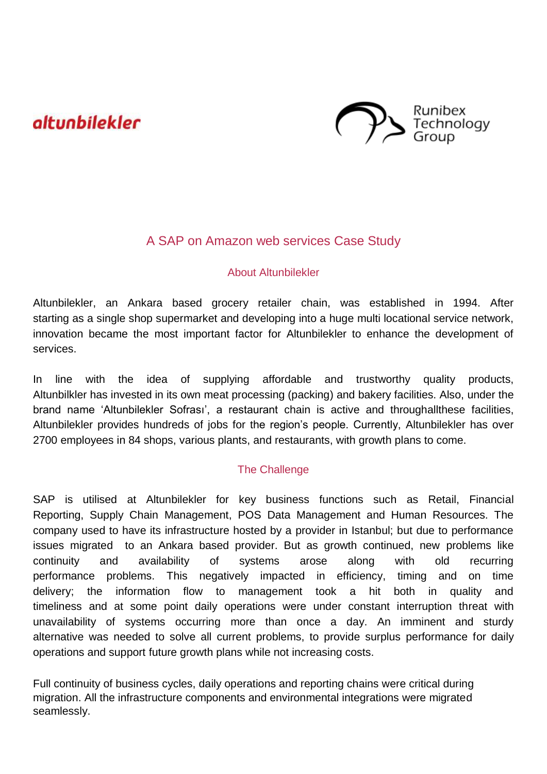# altunbilekler



## A SAP on Amazon web services Case Study

#### About Altunbilekler

Altunbilekler, an Ankara based grocery retailer chain, was established in 1994. After starting as a single shop supermarket and developing into a huge multi locational service network, innovation became the most important factor for Altunbilekler to enhance the development of services.

In line with the idea of supplying affordable and trustworthy quality products, Altunbilkler has invested in its own meat processing (packing) and bakery facilities. Also, under the brand name 'Altunbilekler Sofrası', a restaurant chain is active and throughallthese facilities, Altunbilekler provides hundreds of jobs for the region's people. Currently, Altunbilekler has over 2700 employees in 84 shops, various plants, and restaurants, with growth plans to come.

### The Challenge

SAP is utilised at Altunbilekler for key business functions such as Retail, Financial Reporting, Supply Chain Management, POS Data Management and Human Resources. The company used to have its infrastructure hosted by a provider in Istanbul; but due to performance issues migrated to an Ankara based provider. But as growth continued, new problems like continuity and availability of systems arose along with old recurring performance problems. This negatively impacted in efficiency, timing and on time delivery; the information flow to management took a hit both in quality and timeliness and at some point daily operations were under constant interruption threat with unavailability of systems occurring more than once a day. An imminent and sturdy alternative was needed to solve all current problems, to provide surplus performance for daily operations and support future growth plans while not increasing costs.

Full continuity of business cycles, daily operations and reporting chains were critical during migration. All the infrastructure components and environmental integrations were migrated seamlessly.